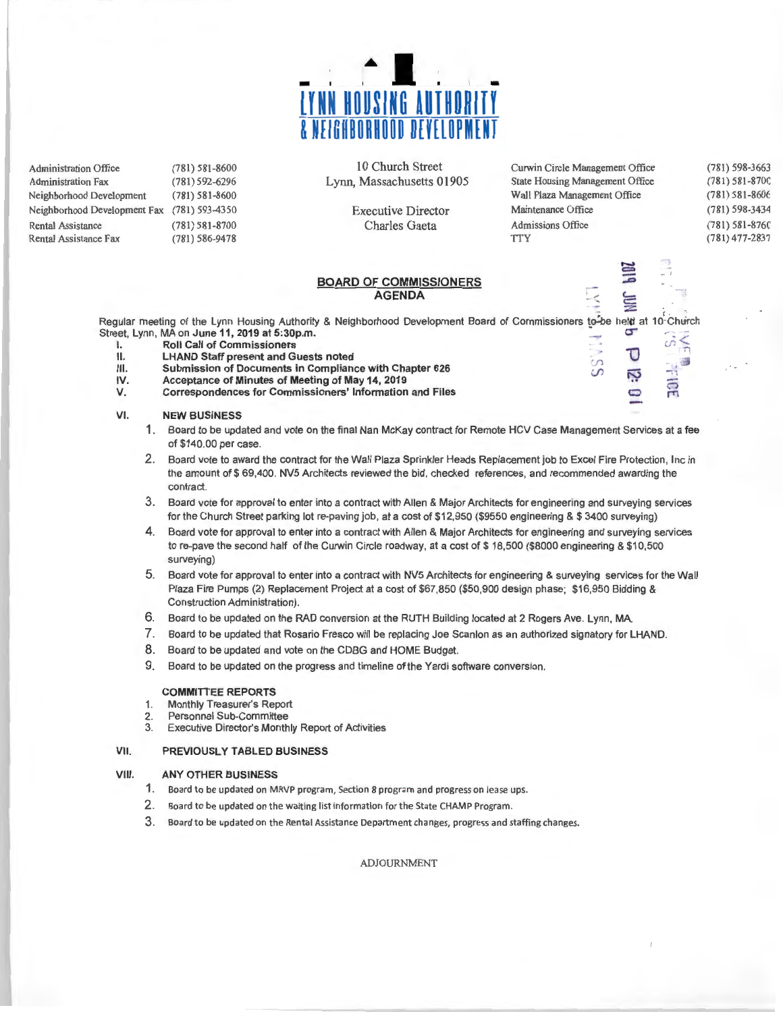

| <b>Administration Office</b> | $(781) 581 - 8600$ |
|------------------------------|--------------------|
| <b>Administration Fax</b>    | (781) 592-6296     |
| Neighborhood Development     | $(781) 581 - 8600$ |
| Neighborhood Development Fax | (781) 593-4350     |
| <b>Rental Assistance</b>     | $(781) 581 - 8700$ |
| Rental Assistance Fax        | $(781) 586 - 9478$ |

10 Church Street Lynn, Massachusetts 01905

> Executive Director Charles Gaeta

| Curwin Circle Management Office        | $(781)$ 598-3663   |
|----------------------------------------|--------------------|
| <b>State Housing Management Office</b> | $(781) 581 - 8700$ |
| Wall Plaza Management Office           | $(781) 581 - 8606$ |
| Maintenance Office                     | (781) 598-3434     |
| <b>Admissions Office</b>               | $(781) 581 - 8760$ |
| <b>TTY</b>                             | $(781)$ 477-2837   |
|                                        |                    |

 $\overline{\phantom{a}}$ 

### **BOARD OF COMMISSIONERS AGENDA**

to-be held at 10 Church Regular meeting of the Lynn Housing Authority & Neighborhood Development Board of Commissioners to-be held at 10 Church Street, Lynn, MA on June 11, 2019 at 5:30p.m. **I.** Street, Lynn, MA on June 11, 2019 at 5:30p.m.<br> **I.** Roll Call of Commissioners<br> **II.** LHAND Staff present and Guests noted

- 
- 
- **II.** LHAND Staff present and Guests noted<br>III. Submission of Documents in Compliance with Chapter 626 **III.** Submission of Documents in Compliance with Chapter 626 *IV.* Acceptance of Minutes of Meeting of May 14, 2019
- **IV. Acceptance of Minutes of Meeting of May 14, 2019**
- **Correspondences for Commissioners' Information and Files**

#### **VI. NEW BUSINESS**

- 1. Board to be updated and vote on the final Nan McKay contract for Remote HCV Case Management Services at a fee of \$140.00 per case.
- 2. Board vote to award the contract for the Wall Plaza Sprinkler Heads Replacement job to Excel Fire Protection, Inc in the amount of\$ 69,400. NV5 Architects reviewed the bid, checked references, and recommended awarding the contract.
- 3. Board vote for approval to enter into a contract with Allen & Major Architects for engineering and surveying services for the Church Street parking lot re-paving job, at a cost of \$12,950 (\$9550 engineering & \$ 3400 surveying)
- **4.**  Board vote for approval to enter into a contract with Allen & Major Architects for engineering and surveying services to re-pave the second half of the Curwin Circle roadway, at a cost of \$18,500 (\$8000 engineering & \$10,500 surveying)
- 5. Board vote for approval to enter into a contract with NV5 Architects for engineering & surveying services for the Wall Plaza Fire Pumps (2) Replacement Project at a cost of \$67,850 (\$50,900 design phase; \$16,950 Bidding & Construction Administration).
- 6. Board to be updated on the RAD conversion at the RUTH Building located at 2 Rogers Ave. Lynn, MA.
- 7. Board to be updated that Rosario Fresco will be replacing Joe Scanlon as an authorized signatory for LHAND.
- 8. Board to be updated and vote on the CDBG and HOME Budget.
- 9. Board to be updated on the progress and timeline of the Yardi software conversion .

#### **COMMITTEE REPORTS**

- 1. Monthly Treasurer's Report
- 2. Personnel Sub-Committee<br>3. Executive Director's Month
- Executive Director's Monthly Report of Activities

#### **VII. PREVIOUSLY TABLED BUSINESS**

#### **VIII. ANY OTHER BUSINESS**

- **1.** Board to be updated on MRVP program, Section 8 program and progress on lease ups.
- 2. Board to be updated on the waiting list information for the State CHAMP Program.
- 3. Board to be updated on the Rental Assistance Department changes, progress and staffing changes.

ADJOURNMENT